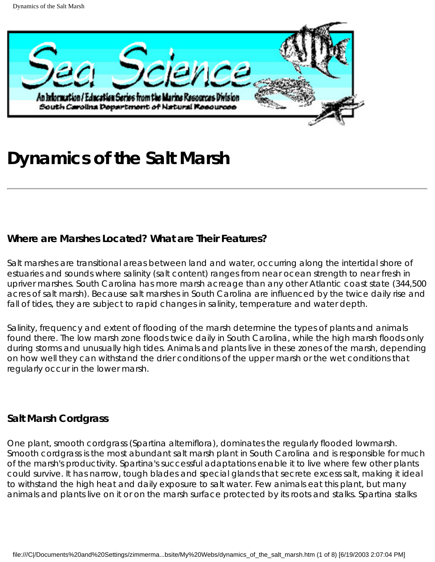

# **Dynamics of the Salt Marsh**

## **Where are Marshes Located? What are Their Features?**

Salt marshes are transitional areas between land and water, occurring along the intertidal shore of estuaries and sounds where salinity (salt content) ranges from near ocean strength to near fresh in upriver marshes. South Carolina has more marsh acreage than any other Atlantic coast state (344,500 acres of salt marsh). Because salt marshes in South Carolina are influenced by the twice daily rise and fall of tides, they are subject to rapid changes in salinity, temperature and water depth.

Salinity, frequency and extent of flooding of the marsh determine the types of plants and animals found there. The low marsh zone floods twice daily in South Carolina, while the high marsh floods only during storms and unusually high tides. Animals and plants live in these zones of the marsh, depending on how well they can withstand the drier conditions of the upper marsh or the wet conditions that regularly occur in the lower marsh.

## **Salt Marsh Cordgrass**

One plant, smooth cordgrass (*Spartina alterniflora*), dominates the regularly flooded lowmarsh. Smooth cordgrass is the most abundant salt marsh plant in South Carolina and is responsible for much of the marsh's productivity. *Spartina*'s successful adaptations enable it to live where few other plants could survive. It has narrow, tough blades and special glands that secrete excess salt, making it ideal to withstand the high heat and daily exposure to salt water. Few animals eat this plant, but many animals and plants live on it or on the marsh surface protected by its roots and stalks. *Spartina* stalks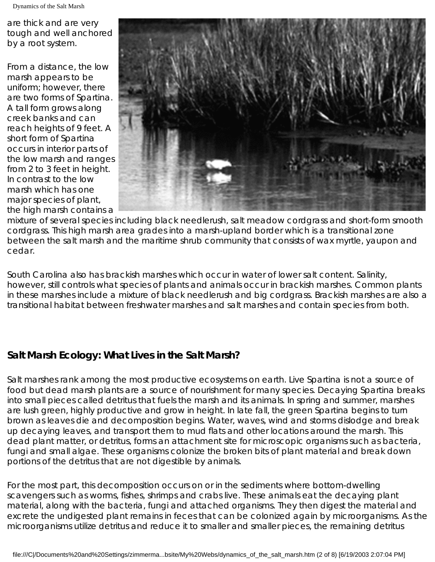are thick and are very tough and well anchored by a root system.

From a distance, the low marsh appears to be uniform; however, there are two forms of *Spartina*. A tall form grows along creek banks and can reach heights of 9 feet. A short form of *Spartina* occurs in interior parts of the low marsh and ranges from 2 to 3 feet in height. In contrast to the low marsh which has one major species of plant, the high marsh contains a



mixture of several species including black needlerush, salt meadow cordgrass and short-form smooth cordgrass. This high marsh area grades into a marsh-upland border which is a transitional zone between the salt marsh and the maritime shrub community that consists of wax myrtle, yaupon and cedar.

South Carolina also has brackish marshes which occur in water of lower salt content. Salinity, however, still controls what species of plants and animals occur in brackish marshes. Common plants in these marshes include a mixture of black needlerush and big cordgrass. Brackish marshes are also a transitional habitat between freshwater marshes and salt marshes and contain species from both.

# **Salt Marsh Ecology: What Lives in the Salt Marsh?**

Salt marshes rank among the most productive ecosystems on earth. Live *Spartina* is not a source of food but dead marsh plants are a source of nourishment for many species. Decaying *Spartina* breaks into small pieces called detritus that fuels the marsh and its animals. In spring and summer, marshes are lush green, highly productive and grow in height. In late fall, the green *Spartina* begins to turn brown as leaves die and decomposition begins. Water, waves, wind and storms dislodge and break up decaying leaves, and transport them to mud flats and other locations around the marsh. This dead plant matter, or detritus, forms an attachment site for microscopic organisms such as bacteria, fungi and small algae. These organisms colonize the broken bits of plant material and break down portions of the detritus that are not digestible by animals.

For the most part, this decomposition occurs on or in the sediments where bottom-dwelling scavengers such as worms, fishes, shrimps and crabs live. These animals eat the decaying plant material, along with the bacteria, fungi and attached organisms. They then digest the material and excrete the undigested plant remains in feces that can be colonized again by microorganisms. As the microorganisms utilize detritus and reduce it to smaller and smaller pieces, the remaining detritus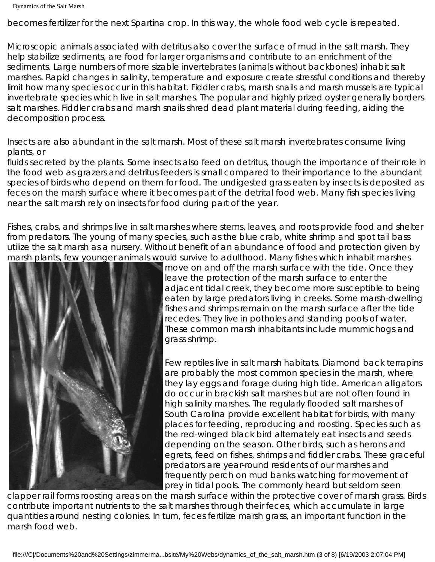becomes fertilizer for the next *Spartina* crop. In this way, the whole food web cycle is repeated.

Microscopic animals associated with detritus also cover the surface of mud in the salt marsh. They help stabilize sediments, are food for larger organisms and contribute to an enrichment of the sediments. Large numbers of more sizable invertebrates (animals without backbones) inhabit salt marshes. Rapid changes in salinity, temperature and exposure create stressful conditions and thereby limit how many species occur in this habitat. Fiddler crabs, marsh snails and marsh mussels are typical invertebrate species which live in salt marshes. The popular and highly prized oyster generally borders salt marshes. Fiddler crabs and marsh snails shred dead plant material during feeding, aiding the decomposition process.

Insects are also abundant in the salt marsh. Most of these salt marsh invertebrates consume living plants, or

fluids secreted by the plants. Some insects also feed on detritus, though the importance of their role in the food web as grazers and detritus feeders is small compared to their importance to the abundant species of birds who depend on them for food. The undigested grass eaten by insects is deposited as feces on the marsh surface where it becomes part of the detrital food web. Many fish species living near the salt marsh rely on insects for food during part of the year.

Fishes, crabs, and shrimps live in salt marshes where stems, leaves, and roots provide food and shelter from predators. The young of many species, such as the blue crab, white shrimp and spot tail bass utilize the salt marsh as a nursery. Without benefit of an abundance of food and protection given by marsh plants, few younger animals would survive to adulthood. Many fishes which inhabit marshes



move on and off the marsh surface with the tide. Once they leave the protection of the marsh surface to enter the adjacent tidal creek, they become more susceptible to being eaten by large predators living in creeks. Some marsh-dwelling fishes and shrimps remain on the marsh surface after the tide recedes. They live in potholes and standing pools of water. These common marsh inhabitants include mummichogs and grass shrimp.

Few reptiles live in salt marsh habitats. Diamond back terrapins are probably the most common species in the marsh, where they lay eggs and forage during high tide. American alligators do occur in brackish salt marshes but are not often found in high salinity marshes. The regularly flooded salt marshes of South Carolina provide excellent habitat for birds, with many places for feeding, reproducing and roosting. Species such as the red-winged black bird alternately eat insects and seeds depending on the season. Other birds, such as herons and egrets, feed on fishes, shrimps and fiddler crabs. These graceful predators are year-round residents of our marshes and frequently perch on mud banks watching for movement of prey in tidal pools. The commonly heard but seldom seen

clapper rail forms roosting areas on the marsh surface within the protective cover of marsh grass. Birds contribute important nutrients to the salt marshes through their feces, which accumulate in large quantities around nesting colonies. In turn, feces fertilize marsh grass, an important function in the marsh food web.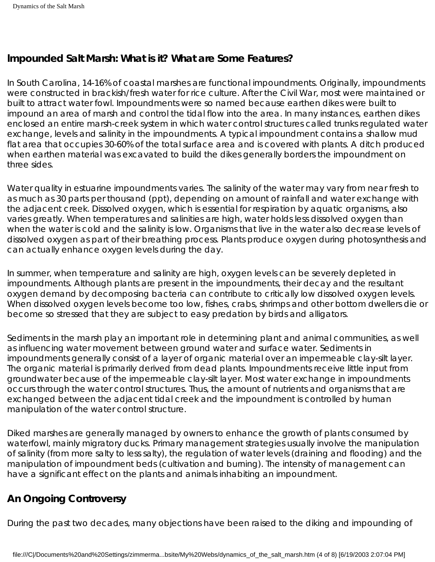## **lmpounded Salt Marsh: What is it? What are Some Features?**

In South Carolina, 14-16% of coastal marshes are functional impoundments. Originally, impoundments were constructed in brackish/fresh water for rice culture. After the Civil War, most were maintained or built to attract water fowl. Impoundments were so named because earthen dikes were built to impound an area of marsh and control the tidal flow into the area. In many instances, earthen dikes enclosed an entire marsh-creek system in which water control structures called trunks regulated water exchange, levels and salinity in the impoundments. A typical impoundment contains a shallow mud flat area that occupies 30-60% of the total surface area and is covered with plants. A ditch produced when earthen material was excavated to build the dikes generally borders the impoundment on three sides.

Water quality in estuarine impoundments varies. The salinity of the water may vary from near fresh to as much as 30 parts per thousand (ppt), depending on amount of rainfall and water exchange with the adjacent creek. Dissolved oxygen, which is essential for respiration by aquatic organisms, also varies greatly. When temperatures and salinities are high, water holds less dissolved oxygen than when the water is cold and the salinity is low. Organisms that live in the water also decrease levels of dissolved oxygen as part of their breathing process. Plants produce oxygen during photosynthesis and can actually enhance oxygen levels during the day.

In summer, when temperature and salinity are high, oxygen levels can be severely depleted in impoundments. Although plants are present in the impoundments, their decay and the resultant oxygen demand by decomposing bacteria can contribute to critically low dissolved oxygen levels. When dissolved oxygen levels become too low, fishes, crabs, shrimps and other bottom dwellers die or become so stressed that they are subject to easy predation by birds and alligators.

Sediments in the marsh play an important role in determining plant and animal communities, as well as influencing water movement between ground water and surface water. Sediments in impoundments generally consist of a layer of organic material over an impermeable clay-silt layer. The organic material is primarily derived from dead plants. Impoundments receive little input from groundwater because of the impermeable clay-silt layer. Most water exchange in impoundments occurs through the water control structures. Thus, the amount of nutrients and organisms that are exchanged between the adjacent tidal creek and the impoundment is controlled by human manipulation of the water control structure.

Diked marshes are generally managed by owners to enhance the growth of plants consumed by waterfowl, mainly migratory ducks. Primary management strategies usually involve the manipulation of salinity (from more salty to less salty), the regulation of water levels (draining and flooding) and the manipulation of impoundment beds (cultivation and burning). The intensity of management can have a significant effect on the plants and animals inhabiting an impoundment.

# **An Ongoing Controversy**

During the past two decades, many objections have been raised to the diking and impounding of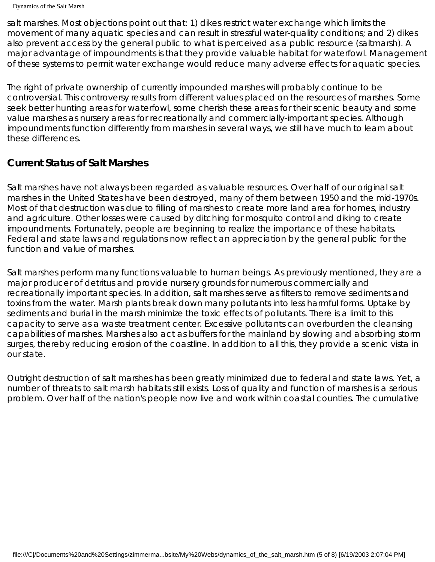```
Dynamics of the Salt Marsh
```
salt marshes. Most objections point out that: 1) dikes restrict water exchange which limits the movement of many aquatic species and can result in stressful water-quality conditions; and 2) dikes also prevent access by the general public to what is perceived as a public resource (saltmarsh). A major advantage of impoundments is that they provide valuable habitat for waterfowl. Management of these systems to permit water exchange would reduce many adverse effects for aquatic species.

The right of private ownership of currently impounded marshes will probably continue to be controversial. This controversy results from different values placed on the resources of marshes. Some seek better hunting areas for waterfowl, some cherish these areas for their scenic beauty and some value marshes as nursery areas for recreationally and commercially-important species. Although impoundments function differently from marshes in several ways, we still have much to learn about these differences.

# **Current Status of Salt Marshes**

Salt marshes have not always been regarded as valuable resources. Over half of our original salt marshes in the United States have been destroyed, many of them between 1950 and the mid-1970s. Most of that destruction was due to filling of marshes to create more land area for homes, industry and agriculture. Other losses were caused by ditching for mosquito control and diking to create impoundments. Fortunately, people are beginning to realize the importance of these habitats. Federal and state laws and regulations now reflect an appreciation by the general public for the function and value of marshes.

Salt marshes perform many functions valuable to human beings. As previously mentioned, they are a major producer of detritus and provide nursery grounds for numerous commercially and recreationally important species. In addition, salt marshes serve as filters to remove sediments and toxins from the water. Marsh plants break down many pollutants into less harmful forms. Uptake by sediments and burial in the marsh minimize the toxic effects of pollutants. There is a limit to this capacity to serve as a waste treatment center. Excessive pollutants can overburden the cleansing capabilities of marshes. Marshes also act as buffers for the mainland by slowing and absorbing storm surges, thereby reducing erosion of the coastline. In addition to all this, they provide a scenic vista in our state.

Outright destruction of salt marshes has been greatly minimized due to federal and state laws. Yet, a number of threats to salt marsh habitats still exists. Loss of quality and function of marshes is a serious problem. Over half of the nation's people now live and work within coastal counties. The cumulative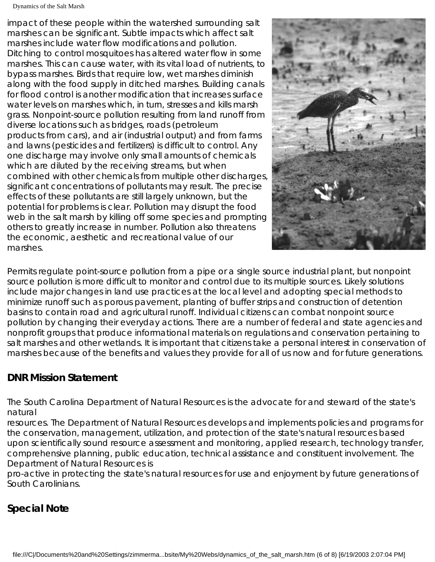Dynamics of the Salt Marsh

impact of these people within the watershed surrounding salt marshes can be significant. Subtle impacts which affect salt marshes include water flow modifications and pollution. Ditching to control mosquitoes has altered water flow in some marshes. This can cause water, with its vital load of nutrients, to bypass marshes. Birds that require low, wet marshes diminish along with the food supply in ditched marshes. Building canals for flood control is another modification that increases surface water levels on marshes which, in turn, stresses and kills marsh grass. Nonpoint-source pollution resulting from land runoff from diverse locations such as bridges, roads (petroleum products from cars), and air (industrial output) and from farms and lawns (pesticides and fertilizers) is difficult to control. Any one discharge may involve only small amounts of chemicals which are diluted by the receiving streams, but when combined with other chemicals from multiple other discharges, significant concentrations of pollutants may result. The precise effects of these pollutants are still largely unknown, but the potential for problems is clear. Pollution may disrupt the food web in the salt marsh by killing off some species and prompting others to greatly increase in number. Pollution also threatens the economic, aesthetic and recreational value of our marshes.



Permits regulate point-source pollution from a pipe or a single source industrial plant, but nonpoint source pollution is more difficult to monitor and control due to its multiple sources. Likely solutions include major changes in land use practices at the local level and adopting special methods to minimize runoff such as porous pavement, planting of buffer strips and construction of detention basins to contain road and agricultural runoff. Individual citizens can combat nonpoint source pollution by changing their everyday actions. There are a number of federal and state agencies and nonprofit groups that produce informational materials on regulations and conservation pertaining to salt marshes and other wetlands. It is important that citizens take a personal interest in conservation of marshes because of the benefits and values they provide for all of us now and for future generations.

# **DNR Mission Statement**

The South Carolina Department of Natural Resources is the advocate for and steward of the state's natural

resources. The Department of Natural Resources develops and implements policies and programs for the conservation, management, utilization, and protection of the state's natural resources based upon scientifically sound resource assessment and monitoring, applied research, technology transfer, comprehensive planning, public education, technical assistance and constituent involvement. The Department of Natural Resources is

pro-active in protecting the state's natural resources for use and enjoyment by future generations of South Carolinians.

# **Special Note**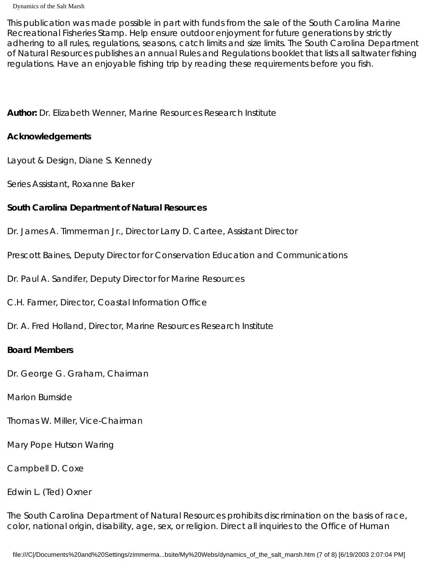This publication was made possible in part with funds from the sale of the South Carolina Marine Recreational Fisheries Stamp. Help ensure outdoor enjoyment for future generations by strictly adhering to all rules, regulations, seasons, catch limits and size limits. The South Carolina Department of Natural Resources publishes an annual Rules and Regulations booklet that lists all saltwater fishing regulations. Have an enjoyable fishing trip by reading these requirements before you fish.

**Author:** Dr. Elizabeth Wenner, Marine Resources Research Institute

### **Acknowledgements**

Layout & Design, Diane S. Kennedy

Series Assistant, Roxanne Baker

## **South Carolina Department of Natural Resources**

Dr. James A. Timmerman Jr., Director Larry D. Cartee, Assistant Director

Prescott Baines, Deputy Director for Conservation Education and Communications

Dr. Paul A. Sandifer, Deputy Director for Marine Resources

C.H. Farmer, Director, Coastal Information Office

Dr. A. Fred Holland, Director, Marine Resources Research Institute

## **Board Members**

Dr. George G. Graham, Chairman

Marion Burnside

Thomas W. Miller, Vice-Chairman

Mary Pope Hutson Waring

Campbell D. Coxe

## Edwin L. (Ted) Oxner

The South Carolina Department of Natural Resources prohibits discrimination on the basis of race, color, national origin, disability, age, sex, or religion. Direct all inquiries to the Office of Human